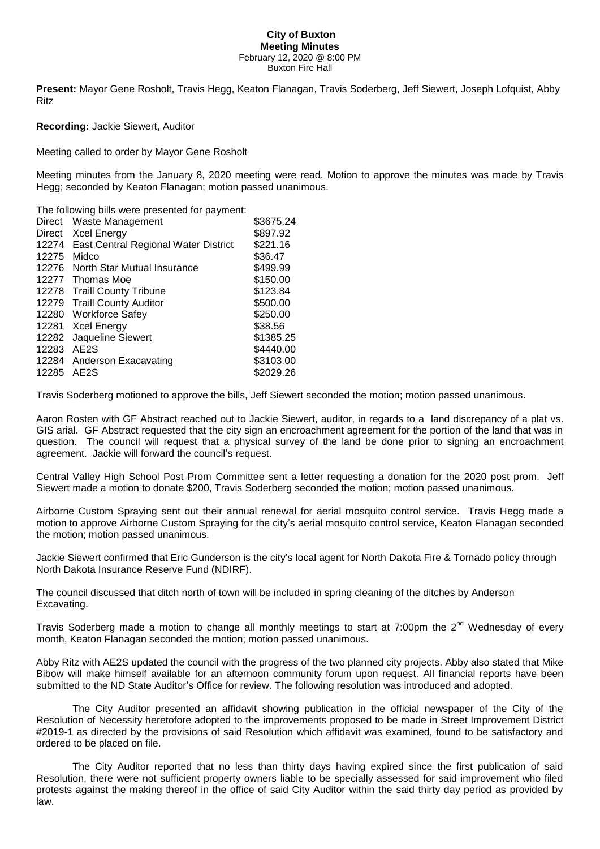## **City of Buxton Meeting Minutes** February 12, 2020 @ 8:00 PM Buxton Fire Hall

**Present:** Mayor Gene Rosholt, Travis Hegg, Keaton Flanagan, Travis Soderberg, Jeff Siewert, Joseph Lofquist, Abby Ritz

**Recording:** Jackie Siewert, Auditor

Meeting called to order by Mayor Gene Rosholt

Meeting minutes from the January 8, 2020 meeting were read. Motion to approve the minutes was made by Travis Hegg; seconded by Keaton Flanagan; motion passed unanimous.

The following bills were presented for payment:

| Direct | Waste Management                     | \$3675.24 |
|--------|--------------------------------------|-----------|
| Direct | <b>Xcel Energy</b>                   | \$897.92  |
| 12274  | East Central Regional Water District | \$221.16  |
| 12275  | Midco                                | \$36.47   |
| 12276  | North Star Mutual Insurance          | \$499.99  |
| 12277  | Thomas Moe                           | \$150.00  |
| 12278  | <b>Traill County Tribune</b>         | \$123.84  |
| 12279  | <b>Traill County Auditor</b>         | \$500.00  |
|        | 12280 Workforce Safey                | \$250.00  |
|        | 12281 Xcel Energy                    | \$38.56   |
| 12282  | Jaqueline Siewert                    | \$1385.25 |
| 12283  | AE <sub>2</sub> S                    | \$4440.00 |
| 12284  | Anderson Exacavating                 | \$3103.00 |
| 12285  | AE <sub>2</sub> S                    | \$2029.26 |

Travis Soderberg motioned to approve the bills, Jeff Siewert seconded the motion; motion passed unanimous.

Aaron Rosten with GF Abstract reached out to Jackie Siewert, auditor, in regards to a land discrepancy of a plat vs. GIS arial. GF Abstract requested that the city sign an encroachment agreement for the portion of the land that was in question. The council will request that a physical survey of the land be done prior to signing an encroachment agreement. Jackie will forward the council's request.

Central Valley High School Post Prom Committee sent a letter requesting a donation for the 2020 post prom. Jeff Siewert made a motion to donate \$200, Travis Soderberg seconded the motion; motion passed unanimous.

Airborne Custom Spraying sent out their annual renewal for aerial mosquito control service. Travis Hegg made a motion to approve Airborne Custom Spraying for the city's aerial mosquito control service, Keaton Flanagan seconded the motion; motion passed unanimous.

Jackie Siewert confirmed that Eric Gunderson is the city's local agent for North Dakota Fire & Tornado policy through North Dakota Insurance Reserve Fund (NDIRF).

The council discussed that ditch north of town will be included in spring cleaning of the ditches by Anderson Excavating.

Travis Soderberg made a motion to change all monthly meetings to start at 7:00pm the 2<sup>nd</sup> Wednesday of every month, Keaton Flanagan seconded the motion; motion passed unanimous.

Abby Ritz with AE2S updated the council with the progress of the two planned city projects. Abby also stated that Mike Bibow will make himself available for an afternoon community forum upon request. All financial reports have been submitted to the ND State Auditor's Office for review. The following resolution was introduced and adopted.

The City Auditor presented an affidavit showing publication in the official newspaper of the City of the Resolution of Necessity heretofore adopted to the improvements proposed to be made in Street Improvement District #2019-1 as directed by the provisions of said Resolution which affidavit was examined, found to be satisfactory and ordered to be placed on file.

 The City Auditor reported that no less than thirty days having expired since the first publication of said Resolution, there were not sufficient property owners liable to be specially assessed for said improvement who filed protests against the making thereof in the office of said City Auditor within the said thirty day period as provided by law.